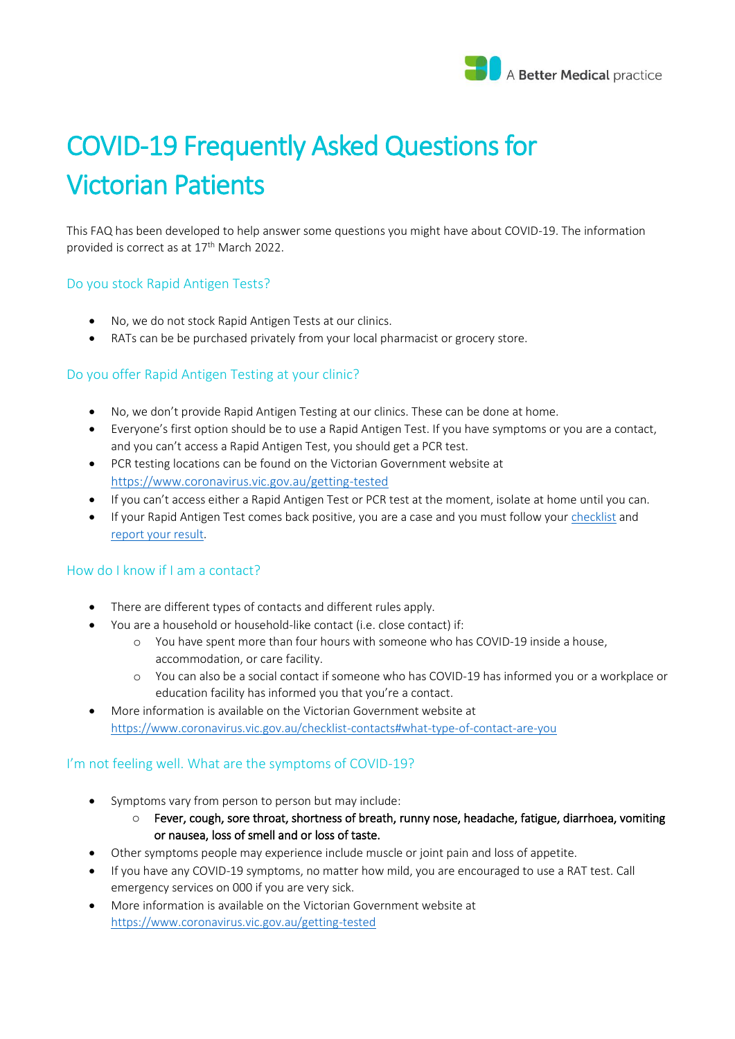

# COVID-19 Frequently Asked Questions for Victorian Patients

This FAQ has been developed to help answer some questions you might have about COVID-19. The information provided is correct as at 17th March 2022.

#### Do you stock Rapid Antigen Tests?

- No, we do not stock Rapid Antigen Tests at our clinics.
- RATs can be be purchased privately from your local pharmacist or grocery store.

# Do you offer Rapid Antigen Testing at your clinic?

- No, we don't provide Rapid Antigen Testing at our clinics. These can be done at home.
- Everyone's first option should be to use a Rapid Antigen Test. If you have symptoms or you are a contact, and you can't access a Rapid Antigen Test, you should get a PCR test.
- PCR testing locations can be found on the Victorian Government website at <https://www.coronavirus.vic.gov.au/getting-tested>
- If you can't access either a Rapid Antigen Test or PCR test at the moment, isolate at home until you can.
- If your Rapid Antigen Test comes back positive, you are a case and you must follow you[r checklist](https://www.coronavirus.vic.gov.au/checklist-cases) and [report your result.](https://www.coronavirus.vic.gov.au/report)

# How do I know if I am a contact?

- There are different types of contacts and different rules apply.
- You are a household or household-like contact (i.e. close contact) if:
	- o You have spent more than four hours with someone who has COVID-19 inside a house, accommodation, or care facility.
	- o You can also be a social contact if someone who has COVID-19 has informed you or a workplace or education facility has informed you that you're a contact.
- More information is available on the Victorian Government website at <https://www.coronavirus.vic.gov.au/checklist-contacts#what-type-of-contact-are-you>

# I'm not feeling well. What are the symptoms of COVID-19?

- Symptoms vary from person to person but may include:
	- $\circ$  Fever, cough, sore throat, shortness of breath, runny nose, headache, fatigue, diarrhoea, vomiting or nausea, loss of smell and or loss of taste.
- Other symptoms people may experience include muscle or joint pain and loss of appetite.
- If you have any COVID-19 symptoms, no matter how mild, you are encouraged to use a RAT test. Call emergency services on 000 if you are very sick.
- More information is available on the Victorian Government website at <https://www.coronavirus.vic.gov.au/getting-tested>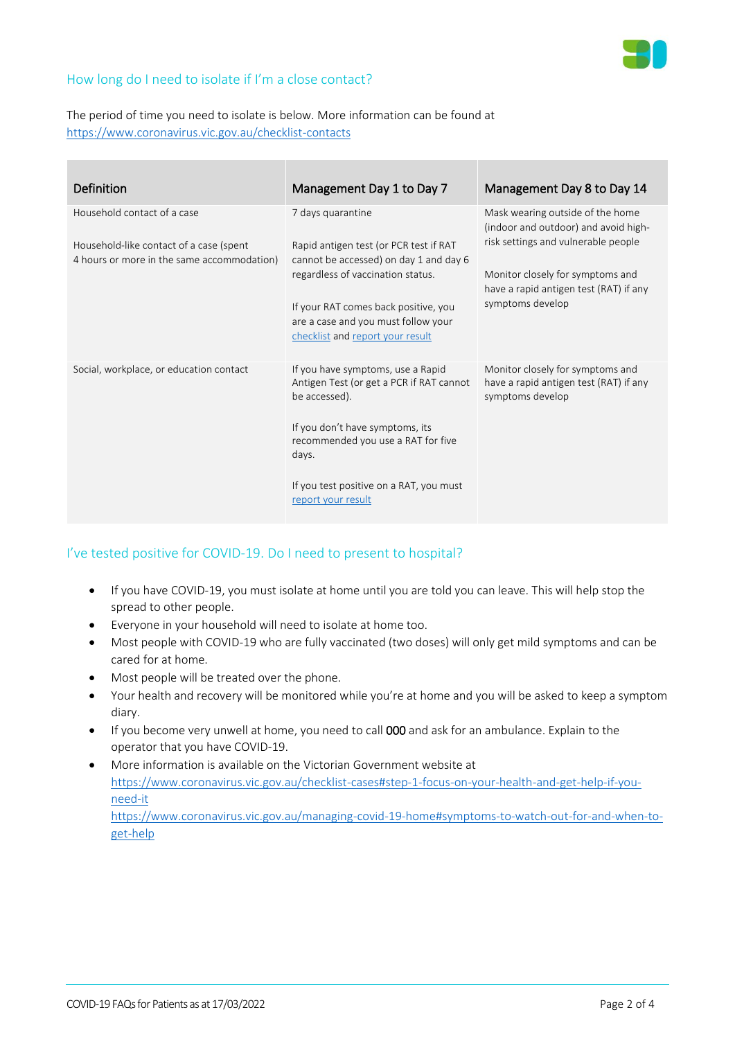# How long do I need to isolate if I'm a close contact?

# The period of time you need to isolate is below. More information can be found at <https://www.coronavirus.vic.gov.au/checklist-contacts>

| <b>Definition</b>                                                                                                    | Management Day 1 to Day 7                                                                                                                                                                                                                                     | Management Day 8 to Day 14                                                                                                                                                                                        |
|----------------------------------------------------------------------------------------------------------------------|---------------------------------------------------------------------------------------------------------------------------------------------------------------------------------------------------------------------------------------------------------------|-------------------------------------------------------------------------------------------------------------------------------------------------------------------------------------------------------------------|
| Household contact of a case<br>Household-like contact of a case (spent<br>4 hours or more in the same accommodation) | 7 days quarantine<br>Rapid antigen test (or PCR test if RAT<br>cannot be accessed) on day 1 and day 6<br>regardless of vaccination status.<br>If your RAT comes back positive, you<br>are a case and you must follow your<br>checklist and report your result | Mask wearing outside of the home<br>(indoor and outdoor) and avoid high-<br>risk settings and vulnerable people<br>Monitor closely for symptoms and<br>have a rapid antigen test (RAT) if any<br>symptoms develop |
| Social, workplace, or education contact                                                                              | If you have symptoms, use a Rapid<br>Antigen Test (or get a PCR if RAT cannot<br>be accessed).<br>If you don't have symptoms, its<br>recommended you use a RAT for five<br>days.<br>If you test positive on a RAT, you must<br>report your result             | Monitor closely for symptoms and<br>have a rapid antigen test (RAT) if any<br>symptoms develop                                                                                                                    |

# I've tested positive for COVID-19. Do I need to present to hospital?

- If you have COVID-19, you must isolate at home until you are told you can leave. This will help stop the spread to other people.
- Everyone in your household will need to isolate at home too.
- Most people with COVID-19 who are fully vaccinated (two doses) will only get mild symptoms and can be cared for at home.
- Most people will be treated over the phone.
- Your health and recovery will be monitored while you're at home and you will be asked to keep a symptom diary.
- If you become very unwell at home, you need to call 000 and ask for an ambulance. Explain to the operator that you have COVID-19.
- More information is available on the Victorian Government website at [https://www.coronavirus.vic.gov.au/checklist-cases#step-1-focus-on-your-health-and-get-help-if-you](https://www.coronavirus.vic.gov.au/checklist-cases#step-1-focus-on-your-health-and-get-help-if-you-need-it)[need-it](https://www.coronavirus.vic.gov.au/checklist-cases#step-1-focus-on-your-health-and-get-help-if-you-need-it) [https://www.coronavirus.vic.gov.au/managing-covid-19-home#symptoms-to-watch-out-for-and-when-to](https://www.coronavirus.vic.gov.au/managing-covid-19-home#symptoms-to-watch-out-for-and-when-to-get-help)[get-help](https://www.coronavirus.vic.gov.au/managing-covid-19-home#symptoms-to-watch-out-for-and-when-to-get-help)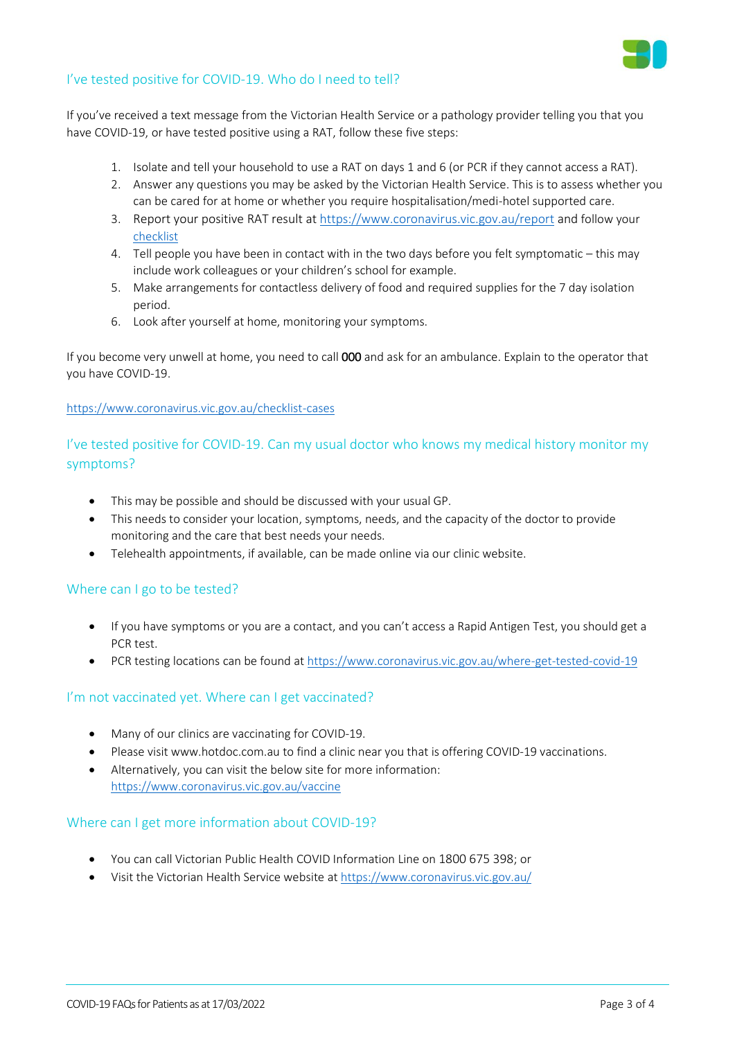

# I've tested positive for COVID-19. Who do I need to tell?

If you've received a text message from the Victorian Health Service or a pathology provider telling you that you have COVID-19, or have tested positive using a RAT, follow these five steps:

- 1. Isolate and tell your household to use a RAT on days 1 and 6 (or PCR if they cannot access a RAT).
- 2. Answer any questions you may be asked by the Victorian Health Service. This is to assess whether you can be cared for at home or whether you require hospitalisation/medi-hotel supported care.
- 3. Report your positive RAT result at <https://www.coronavirus.vic.gov.au/report> and follow your [checklist](https://www.coronavirus.vic.gov.au/checklist-cases)
- 4. Tell people you have been in contact with in the two days before you felt symptomatic this may include work colleagues or your children's school for example.
- 5. Make arrangements for contactless delivery of food and required supplies for the 7 day isolation period.
- 6. Look after yourself at home, monitoring your symptoms.

If you become very unwell at home, you need to call 000 and ask for an ambulance. Explain to the operator that you have COVID-19.

<https://www.coronavirus.vic.gov.au/checklist-cases>

# I've tested positive for COVID-19. Can my usual doctor who knows my medical history monitor my symptoms?

- This may be possible and should be discussed with your usual GP.
- This needs to consider your location, symptoms, needs, and the capacity of the doctor to provide monitoring and the care that best needs your needs.
- Telehealth appointments, if available, can be made online via our clinic website.

# Where can I go to be tested?

- If you have symptoms or you are a contact, and you can't access a Rapid Antigen Test, you should get a PCR test.
- PCR testing locations can be found at<https://www.coronavirus.vic.gov.au/where-get-tested-covid-19>

# I'm not vaccinated yet. Where can I get vaccinated?

- Many of our clinics are vaccinating for COVID-19.
- Please visi[t www.hotdoc.com.au](http://www.hotdoc.com.au/) to find a clinic near you that is offering COVID-19 vaccinations.
- Alternatively, you can visit the below site for more information: <https://www.coronavirus.vic.gov.au/vaccine>

#### Where can I get more information about COVID-19?

- You can call Victorian Public Health COVID Information Line on 1800 675 398; or
- Visit the Victorian Health Service website at<https://www.coronavirus.vic.gov.au/>